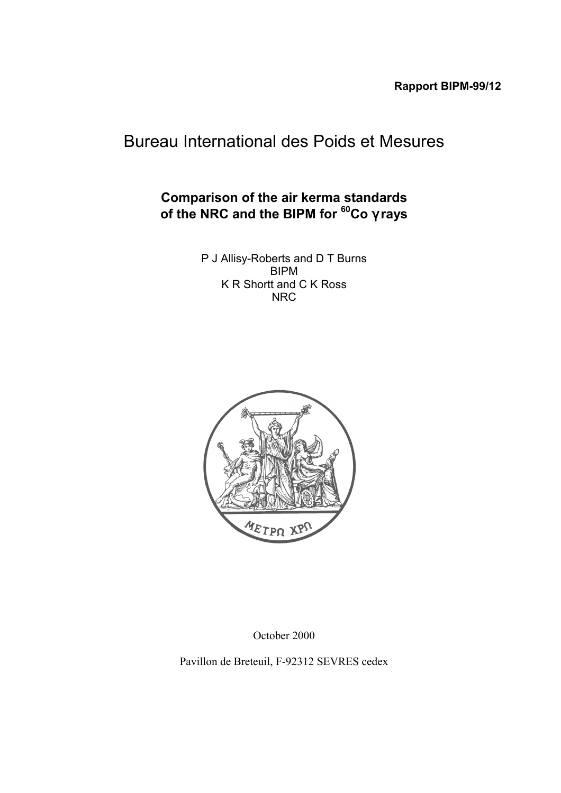# Bureau International des Poids et Mesures

## **Comparison of the air kerma standards of the NRC and the BIPM for 60Co** γ **rays**

P J Allisy-Roberts and D T Burns BIPM K R Shortt and C K Ross NRC



October 2000

Pavillon de Breteuil, F-92312 SEVRES cedex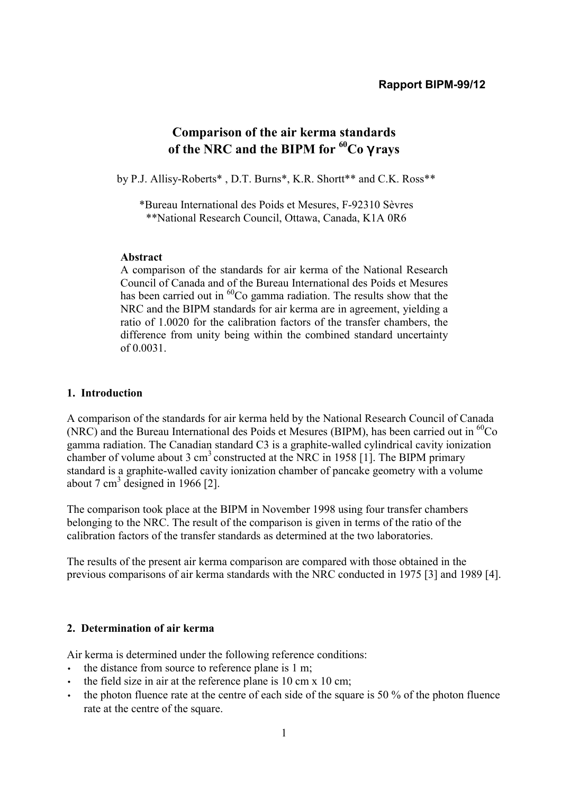## **Comparison of the air kerma standards of the NRC and the BIPM for 60Co** γ **rays**

by P.J. Allisy-Roberts\*, D.T. Burns\*, K.R. Shortt\*\* and C.K. Ross\*\*

\*Bureau International des Poids et Mesures, F-92310 SËvres \*\*National Research Council, Ottawa, Canada, K1A 0R6

## **Abstract**

A comparison of the standards for air kerma of the National Research Council of Canada and of the Bureau International des Poids et Mesures has been carried out in  ${}^{60}Co$  gamma radiation. The results show that the NRC and the BIPM standards for air kerma are in agreement, yielding a ratio of 1.0020 for the calibration factors of the transfer chambers, the difference from unity being within the combined standard uncertainty of 0.0031.

## **1. Introduction**

A comparison of the standards for air kerma held by the National Research Council of Canada (NRC) and the Bureau International des Poids et Mesures (BIPM), has been carried out in  ${}^{60}Co$ gamma radiation. The Canadian standard C3 is a graphite-walled cylindrical cavity ionization chamber of volume about 3 cm<sup>3</sup> constructed at the NRC in 1958 [1]. The BIPM primary standard is a graphite-walled cavity ionization chamber of pancake geometry with a volume about 7 cm<sup>3</sup> designed in 1966 [2].

The comparison took place at the BIPM in November 1998 using four transfer chambers belonging to the NRC. The result of the comparison is given in terms of the ratio of the calibration factors of the transfer standards as determined at the two laboratories.

The results of the present air kerma comparison are compared with those obtained in the previous comparisons of air kerma standards with the NRC conducted in 1975 [3] and 1989 [4].

## **2. Determination of air kerma**

Air kerma is determined under the following reference conditions:

- the distance from source to reference plane is 1 m;
- the field size in air at the reference plane is 10 cm x 10 cm;
- the photon fluence rate at the centre of each side of the square is 50 % of the photon fluence rate at the centre of the square.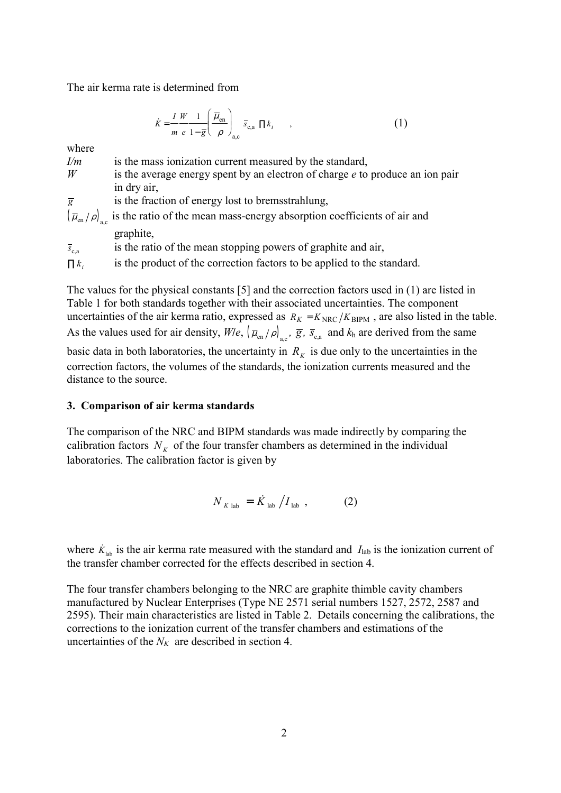The air kerma rate is determined from

$$
\dot{K} = \frac{I W}{m e} \frac{1}{1 - \overline{g}} \left( \frac{\overline{\mu}_{en}}{\rho} \right)_{a,c} \overline{s}_{c,a} \prod k_{i} , \qquad , \qquad (1)
$$

where

| I/m             | is the mass ionization current measured by the standard,                                                  |
|-----------------|-----------------------------------------------------------------------------------------------------------|
| W               | is the average energy spent by an electron of charge $e$ to produce an ion pair                           |
|                 | in dry air,                                                                                               |
| $\overline{g}$  | is the fraction of energy lost to bremsstrahlung,                                                         |
|                 | $(\overline{\mu}_{en}/\rho)_{ac}$ is the ratio of the mean mass-energy absorption coefficients of air and |
|                 | graphite,                                                                                                 |
| $\bar{s}_{c,a}$ | is the ratio of the mean stopping powers of graphite and air,                                             |
| $\prod k_i$     | is the product of the correction factors to be applied to the standard.                                   |

The values for the physical constants [5] and the correction factors used in (1) are listed in Table 1 for both standards together with their associated uncertainties. The component uncertainties of the air kerma ratio, expressed as  $R_K = K_{\text{NRC}}/K_{\text{BIPM}}$ , are also listed in the table. As the values used for air density,  $W/e$ ,  $(\overline{\mu}_{en}/\rho)_{ac}$ ,  $\overline{g}$ ,  $\overline{s}_{c,a}$  and  $k_h$  are derived from the same basic data in both laboratories, the uncertainty in  $R<sub>K</sub>$  is due only to the uncertainties in the correction factors, the volumes of the standards, the ionization currents measured and the distance to the source.

## **3. Comparison of air kerma standards**

The comparison of the NRC and BIPM standards was made indirectly by comparing the calibration factors  $N_K$  of the four transfer chambers as determined in the individual laboratories. The calibration factor is given by

$$
N_{K \text{ lab}} = \dot{K}_{\text{ lab}} / I_{\text{ lab}} \tag{2}
$$

where  $\dot{K}_{\text{lab}}$  is the air kerma rate measured with the standard and  $I_{\text{lab}}$  is the ionization current of the transfer chamber corrected for the effects described in section 4.

The four transfer chambers belonging to the NRC are graphite thimble cavity chambers manufactured by Nuclear Enterprises (Type NE 2571 serial numbers 1527, 2572, 2587 and 2595). Their main characteristics are listed in Table 2. Details concerning the calibrations, the corrections to the ionization current of the transfer chambers and estimations of the uncertainties of the  $N_K$  are described in section 4.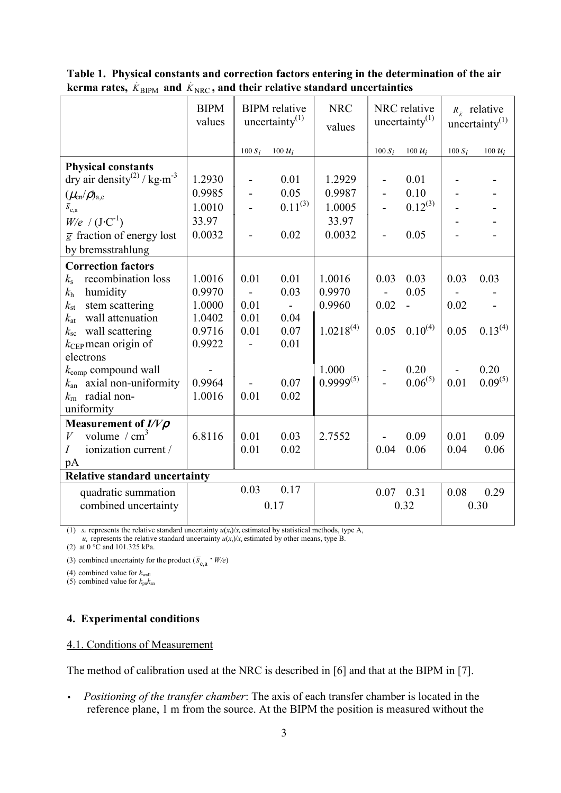|                                                     | <b>BIPM</b><br>values |                | <b>BIPM</b> relative<br>uncertainty $^{(1)}$ | <b>NRC</b><br>values |                          | NRC relative<br>uncertainty $(1)$ |           | $R_{\dot{x}}$ relative<br>uncertainty $(1)$ |
|-----------------------------------------------------|-----------------------|----------------|----------------------------------------------|----------------------|--------------------------|-----------------------------------|-----------|---------------------------------------------|
|                                                     |                       | $100 S_i$      | 100 $u_i$                                    |                      | $100 S_i$                | 100 $u_i$                         | $100 S_i$ | 100 $u_i$                                   |
| <b>Physical constants</b>                           |                       |                |                                              |                      |                          |                                   |           |                                             |
| dry air density <sup>(2)</sup> / kg·m <sup>-3</sup> | 1.2930                | $\blacksquare$ | 0.01                                         | 1.2929               | $\overline{\phantom{0}}$ | 0.01                              |           |                                             |
| $(\mu_{\text{\rm en}}/\rho)_{\text{a,c}}$           | 0.9985                |                | 0.05                                         | 0.9987               |                          | 0.10                              |           |                                             |
| $\overline{s}_{c,a}$                                | 1.0010                |                | $0.11^{(3)}$                                 | 1.0005               |                          | $0.12^{(3)}$                      |           |                                             |
| $W/e$ / $(J \cdot C^{-1})$                          | 33.97                 |                |                                              | 33.97                |                          |                                   |           |                                             |
| $\overline{g}$ fraction of energy lost              | 0.0032                | $\overline{a}$ | 0.02                                         | 0.0032               | $\overline{a}$           | 0.05                              |           |                                             |
| by bremsstrahlung                                   |                       |                |                                              |                      |                          |                                   |           |                                             |
| <b>Correction factors</b>                           |                       |                |                                              |                      |                          |                                   |           |                                             |
| recombination loss<br>$k_{\rm s}$                   | 1.0016                | 0.01           | 0.01                                         | 1.0016               | 0.03                     | 0.03                              | 0.03      | 0.03                                        |
| $k_{\rm h}$<br>humidity                             | 0.9970                | $\blacksquare$ | 0.03                                         | 0.9970               | $\blacksquare$           | 0.05                              |           |                                             |
| stem scattering<br>$k_{\rm st}$                     | 1.0000                | 0.01           | $\overline{a}$                               | 0.9960               | 0.02                     | $\overline{a}$                    | 0.02      |                                             |
| wall attenuation<br>$k_{\rm at}$                    | 1.0402                | 0.01           | 0.04                                         |                      |                          |                                   |           |                                             |
| wall scattering<br>$k_{\rm sc}$                     | 0.9716                | 0.01           | 0.07                                         | $1.0218^{(4)}$       | 0.05                     | $0.10^{(4)}$                      | 0.05      | $0.13^{(4)}$                                |
| $k_{\text{CEP}}$ mean origin of                     | 0.9922                |                | 0.01                                         |                      |                          |                                   |           |                                             |
| electrons                                           |                       |                |                                              |                      |                          |                                   |           |                                             |
| $k_{\text{comp}}$ compound wall                     |                       |                |                                              | 1.000                | $\overline{\phantom{0}}$ | 0.20                              |           | 0.20                                        |
| $k_{an}$ axial non-uniformity                       | 0.9964                |                | 0.07                                         | $0.9999^{(5)}$       |                          | $0.06^{(5)}$                      | 0.01      | $0.09^{(5)}$                                |
| radial non-<br>$k_{\rm rn}$                         | 1.0016                | 0.01           | 0.02                                         |                      |                          |                                   |           |                                             |
| uniformity                                          |                       |                |                                              |                      |                          |                                   |           |                                             |
| Measurement of $I/V\rho$                            |                       |                |                                              |                      |                          |                                   |           |                                             |
| volume $/cm3$<br>$\boldsymbol{V}$                   | 6.8116                | 0.01           | 0.03<br>0.02                                 | 2.7552               | 0.04                     | 0.09                              | 0.01      | 0.09                                        |
| ionization current /<br>Ι                           |                       | 0.01           |                                              |                      |                          | 0.06                              | 0.04      | 0.06                                        |
| pA<br><b>Relative standard uncertainty</b>          |                       |                |                                              |                      |                          |                                   |           |                                             |
|                                                     |                       | 0.03           | 0.17                                         |                      |                          |                                   |           |                                             |
| quadratic summation<br>combined uncertainty         |                       |                | 0.17                                         |                      |                          | $0.07$ 0.31<br>0.32               | 0.08      | 0.29<br>0.30                                |
|                                                     |                       |                |                                              |                      |                          |                                   |           |                                             |

**Table 1. Physical constants and correction factors entering in the determination of the air**  $k$ erma rates,  $\dot{K}_{\text{BIPM}}$  and  $\dot{K}_{\text{NRC}}$ , and their relative standard uncertainties

(1)  $s_i$  represents the relative standard uncertainty  $u(x_i)/x_i$  estimated by statistical methods, type A,

 $u_i$  represents the relative standard uncertainty  $u(x_i)/x_i$  estimated by other means, type B.

(2) at 0 °C and 101.325 kPa.

(3) combined uncertainty for the product  $(\overline{S}_{c,a} \cdot W/e)$ 

(4) combined value for  $k_{\text{wall}}$ 

 $(5)$  combined value for  $k_{\text{nn}}k_{\text{an}}$ 

## **4. Experimental conditions**

## 4.1. Conditions of Measurement

The method of calibration used at the NRC is described in [6] and that at the BIPM in [7].

• *Positioning of the transfer chamber*: The axis of each transfer chamber is located in the reference plane, 1 m from the source. At the BIPM the position is measured without the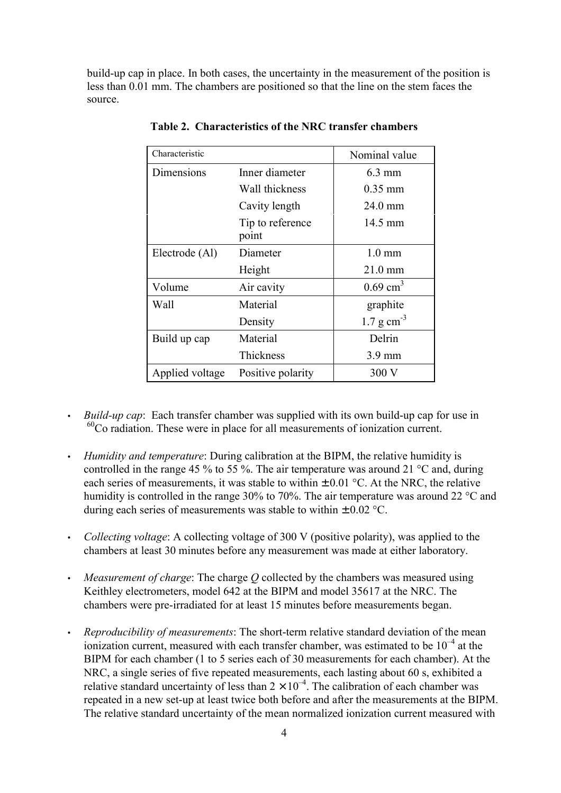build-up cap in place. In both cases, the uncertainty in the measurement of the position is less than 0.01 mm. The chambers are positioned so that the line on the stem faces the source.

| Characteristic  |                           | Nominal value           |
|-----------------|---------------------------|-------------------------|
| Dimensions      | Inner diameter            |                         |
|                 | Wall thickness            | $0.35$ mm               |
|                 | Cavity length             | 24.0 mm                 |
|                 | Tip to reference<br>point | 14.5 mm                 |
| Electrode (Al)  | Diameter                  | $1.0 \text{ mm}$        |
|                 | Height                    | $21.0 \text{ mm}$       |
| Volume          | Air cavity                | $0.69$ cm <sup>3</sup>  |
| Wall            | Material                  | graphite                |
|                 | Density                   | $1.7 \text{ g cm}^{-3}$ |
| Build up cap    | Material                  | Delrin                  |
|                 | Thickness                 | $3.9 \text{ mm}$        |
| Applied voltage | Positive polarity         | 300 V                   |

**Table 2. Characteristics of the NRC transfer chambers**

- *Build-up cap*:Each transfer chamber was supplied with its own build-up cap for use in  $60^{\circ}$ Co radiation. These were in place for all measurements of ionization current.
- *Humidity and temperature*: During calibration at the BIPM, the relative humidity is controlled in the range 45 % to 55 %. The air temperature was around 21 °C and, during each series of measurements, it was stable to within  $\pm 0.01$  °C. At the NRC, the relative humidity is controlled in the range 30% to 70%. The air temperature was around 22 °C and during each series of measurements was stable to within  $\pm$  0.02 °C.
- *Collecting voltage*: A collecting voltage of 300 V (positive polarity), was applied to the chambers at least 30 minutes before any measurement was made at either laboratory.
- *Measurement of charge*: The charge *Q* collected by the chambers was measured using Keithley electrometers, model 642 at the BIPM and model 35617 at the NRC. The chambers were pre-irradiated for at least 15 minutes before measurements began.
- *Reproducibility of measurements*: The short-term relative standard deviation of the mean ionization current, measured with each transfer chamber, was estimated to be  $10^{-4}$  at the BIPM for each chamber (1 to 5 series each of 30 measurements for each chamber). At the NRC, a single series of five repeated measurements, each lasting about 60 s, exhibited a relative standard uncertainty of less than  $2 \times 10^{-4}$ . The calibration of each chamber was repeated in a new set-up at least twice both before and after the measurements at the BIPM. The relative standard uncertainty of the mean normalized ionization current measured with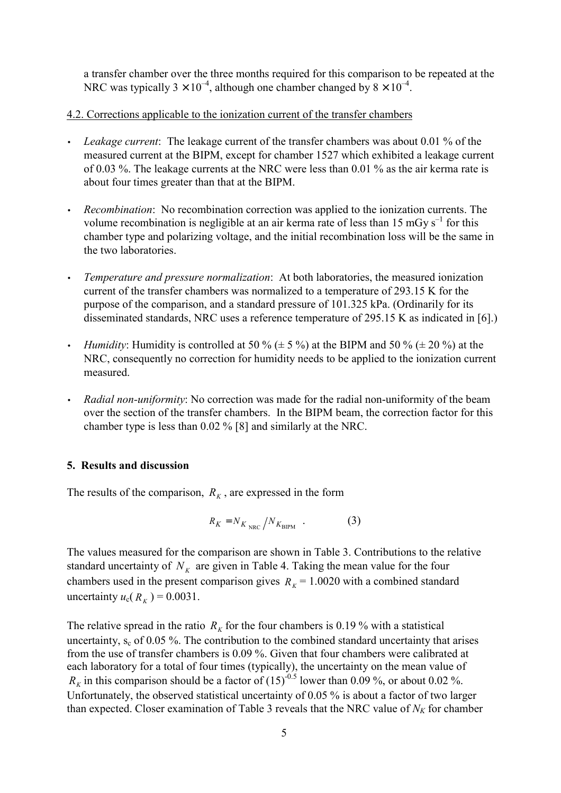a transfer chamber over the three months required for this comparison to be repeated at the NRC was typically  $3 \times 10^{-4}$ , although one chamber changed by  $8 \times 10^{-4}$ .

#### 4.2. Corrections applicable to the ionization current of the transfer chambers

- *Leakage current*:The leakage current of the transfer chambers was about 0.01 % of the measured current at the BIPM, except for chamber 1527 which exhibited a leakage current of 0.03 %. The leakage currents at the NRC were less than 0.01 % as the air kerma rate is about four times greater than that at the BIPM.
- *Recombination*:No recombination correction was applied to the ionization currents. The volume recombination is negligible at an air kerma rate of less than 15 mGy  $s^{-1}$  for this chamber type and polarizing voltage, and the initial recombination loss will be the same in the two laboratories.
- *Temperature and pressure normalization*:At both laboratories, the measured ionization current of the transfer chambers was normalized to a temperature of 293.15 K for the purpose of the comparison, and a standard pressure of 101.325 kPa. (Ordinarily for its disseminated standards, NRC uses a reference temperature of 295.15 K as indicated in [6].)
- *Humidity*: Humidity is controlled at 50 % ( $\pm$  5 %) at the BIPM and 50 % ( $\pm$  20 %) at the NRC, consequently no correction for humidity needs to be applied to the ionization current measured.
- *Radial non-uniformity*: No correction was made for the radial non-uniformity of the beam over the section of the transfer chambers. In the BIPM beam, the correction factor for this chamber type is less than 0.02 % [8] and similarly at the NRC.

#### **5. Results and discussion**

The results of the comparison,  $R_K$ , are expressed in the form

$$
R_K = N_{K_{\text{NRC}}} / N_{K_{\text{BIPM}}} \quad . \tag{3}
$$

The values measured for the comparison are shown in Table 3. Contributions to the relative standard uncertainty of  $N_K$  are given in Table 4. Taking the mean value for the four chambers used in the present comparison gives  $R<sub>K</sub>$  = 1.0020 with a combined standard uncertainty  $u_c(R_k) = 0.0031$ .

The relative spread in the ratio  $R_k$  for the four chambers is 0.19 % with a statistical uncertainty,  $s_c$  of 0.05 %. The contribution to the combined standard uncertainty that arises from the use of transfer chambers is 0.09 %. Given that four chambers were calibrated at each laboratory for a total of four times (typically), the uncertainty on the mean value of  $R_K$  in this comparison should be a factor of  $(15)^{-0.5}$  lower than 0.09 %, or about 0.02 %. Unfortunately, the observed statistical uncertainty of 0.05 % is about a factor of two larger than expected. Closer examination of Table 3 reveals that the NRC value of  $N_K$  for chamber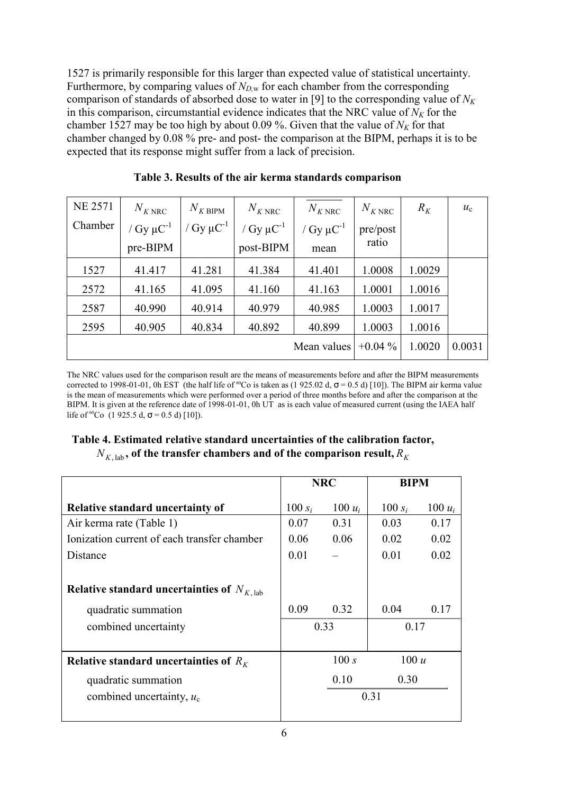1527 is primarily responsible for this larger than expected value of statistical uncertainty. Furthermore, by comparing values of  $N_{D,w}$  for each chamber from the corresponding comparison of standards of absorbed dose to water in [9] to the corresponding value of  $N_K$ in this comparison, circumstantial evidence indicates that the NRC value of  $N_K$  for the chamber 1527 may be too high by about 0.09 %. Given that the value of  $N_K$  for that chamber changed by 0.08 % pre- and post- the comparison at the BIPM, perhaps it is to be expected that its response might suffer from a lack of precision.

| <b>NE 2571</b> | $N_{K \text{ NRC}}$        | $N_{K\,\text{BIPM}}$       | $N_{K \text{ NRC}}$ | $N_{K \text{ NRC}}$        | $N_{K \text{ NRC}}$ | $R_K$  | $u_{\rm c}$ |
|----------------|----------------------------|----------------------------|---------------------|----------------------------|---------------------|--------|-------------|
| Chamber        | / Gy $\mu$ C <sup>-1</sup> | / Gy $\mu$ C <sup>-1</sup> | / $Gy \mu C^{-1}$   | / Gy $\mu$ C <sup>-1</sup> | pre/post            |        |             |
|                | pre-BIPM                   |                            | post-BIPM           | mean                       | ratio               |        |             |
| 1527           | 41.417                     | 41.281                     | 41.384              | 41.401                     | 1.0008              | 1.0029 |             |
| 2572           | 41.165                     | 41.095                     | 41.160              | 41.163                     | 1.0001              | 1.0016 |             |
| 2587           | 40.990                     | 40.914                     | 40.979              | 40.985                     | 1.0003              | 1.0017 |             |
| 2595           | 40.905                     | 40.834                     | 40.892              | 40.899                     | 1.0003              | 1.0016 |             |
|                |                            |                            |                     | Mean values                | $+0.04\%$           | 1.0020 | 0.0031      |

**Table 3. Results of the air kerma standards comparison**

The NRC values used for the comparison result are the means of measurements before and after the BIPM measurements corrected to 1998-01-01, 0h EST (the half life of <sup>60</sup>Co is taken as (1 925.02 d,  $\sigma$  = 0.5 d) [10]). The BIPM air kerma value is the mean of measurements which were performed over a period of three months before and after the comparison at the BIPM. It is given at the reference date of 1998-01-01, 0h UT as is each value of measured current (using the IAEA half life of <sup>60</sup>Co (1 925.5 d,  $\sigma$  = 0.5 d) [10]).

## **Table 4. Estimated relative standard uncertainties of the calibration factor,**  $N_{K, \text{lab}}$ , of the transfer chambers and of the comparison result,  $R_K$

|                                                | <b>NRC</b>   |           | <b>BIPM</b> |           |
|------------------------------------------------|--------------|-----------|-------------|-----------|
| <b>Relative standard uncertainty of</b>        | 100 $s_i$    | $100 u_i$ | 100 $s_i$   | 100 $u_i$ |
| Air kerma rate (Table 1)                       | 0.07         | 0.31      | 0.03        | 0.17      |
| Ionization current of each transfer chamber    | 0.06         | 0.06      | 0.02        | 0.02      |
| Distance                                       | 0.01         |           | 0.01        | 0.02      |
|                                                |              |           |             |           |
| Relative standard uncertainties of $N_{K,lab}$ |              |           |             |           |
| quadratic summation                            | 0.09         | 0.32      | 0.04        | 0.17      |
| combined uncertainty                           | 0.33<br>0.17 |           |             |           |
|                                                |              |           |             |           |
| Relative standard uncertainties of $R_K$       |              | 100 s     | 100 u       |           |
| quadratic summation                            |              | 0.10      | 0.30        |           |
| combined uncertainty, $u_c$                    | 0.31         |           |             |           |
|                                                |              |           |             |           |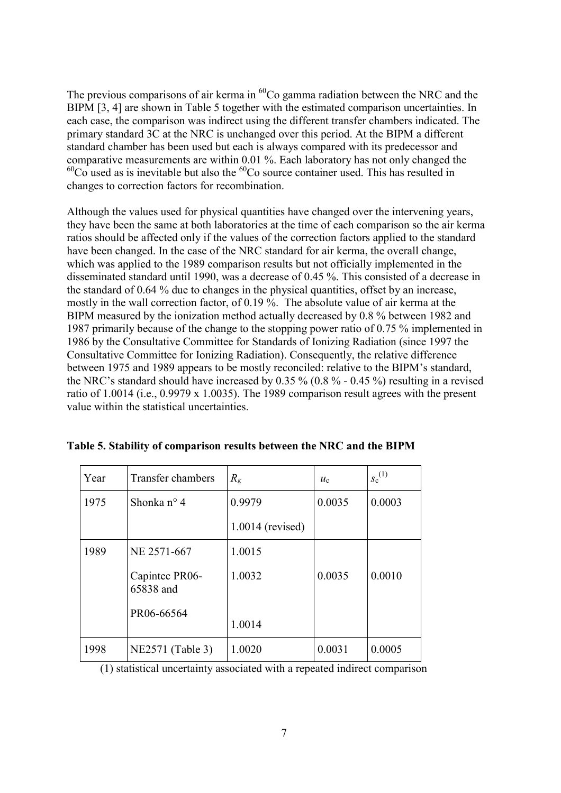The previous comparisons of air kerma in  ${}^{60}Co$  gamma radiation between the NRC and the BIPM [3, 4] are shown in Table 5 together with the estimated comparison uncertainties. In each case, the comparison was indirect using the different transfer chambers indicated. The primary standard 3C at the NRC is unchanged over this period. At the BIPM a different standard chamber has been used but each is always compared with its predecessor and comparative measurements are within 0.01 %. Each laboratory has not only changed the  $^{60}$ Co used as is inevitable but also the  $^{60}$ Co source container used. This has resulted in changes to correction factors for recombination.

Although the values used for physical quantities have changed over the intervening years, they have been the same at both laboratories at the time of each comparison so the air kerma ratios should be affected only if the values of the correction factors applied to the standard have been changed. In the case of the NRC standard for air kerma, the overall change, which was applied to the 1989 comparison results but not officially implemented in the disseminated standard until 1990, was a decrease of 0.45 %. This consisted of a decrease in the standard of 0.64 % due to changes in the physical quantities, offset by an increase, mostly in the wall correction factor, of 0.19 %. The absolute value of air kerma at the BIPM measured by the ionization method actually decreased by 0.8 % between 1982 and 1987 primarily because of the change to the stopping power ratio of 0.75 % implemented in 1986 by the Consultative Committee for Standards of Ionizing Radiation (since 1997 the Consultative Committee for Ionizing Radiation). Consequently, the relative difference between 1975 and 1989 appears to be mostly reconciled: relative to the BIPM's standard, the NRC's standard should have increased by  $0.35\%$  (0.8 % - 0.45 %) resulting in a revised ratio of 1.0014 (i.e., 0.9979 x 1.0035). The 1989 comparison result agrees with the present value within the statistical uncertainties.

| Year | Transfer chambers           | $R_{K}$          | $u_{c}$ | $s_c^{(1)}$ |
|------|-----------------------------|------------------|---------|-------------|
| 1975 | Shonka $n^{\circ}$ 4        | 0.9979           | 0.0035  | 0.0003      |
|      |                             | 1.0014 (revised) |         |             |
| 1989 | NE 2571-667                 | 1.0015           |         |             |
|      | Capintec PR06-<br>65838 and | 1.0032           | 0.0035  | 0.0010      |
|      | PR06-66564                  | 1.0014           |         |             |
| 1998 | NE2571 (Table 3)            | 1.0020           | 0.0031  | 0.0005      |

|  | Table 5. Stability of comparison results between the NRC and the BIPM |  |  |
|--|-----------------------------------------------------------------------|--|--|
|  |                                                                       |  |  |

(1) statistical uncertainty associated with a repeated indirect comparison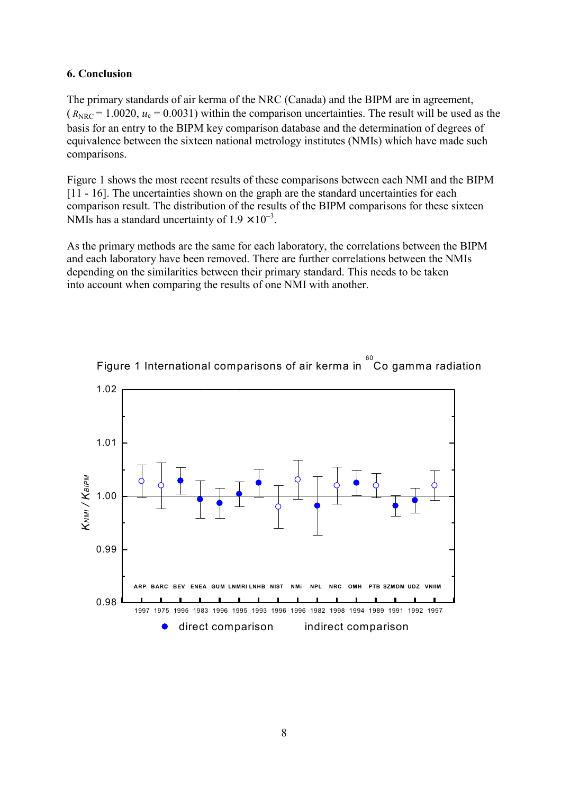### **6. Conclusion**

The primary standards of air kerma of the NRC (Canada) and the BIPM are in agreement,  $(R<sub>NRC</sub> = 1.0020, u<sub>c</sub> = 0.0031)$  within the comparison uncertainties. The result will be used as the basis for an entry to the BIPM key comparison database and the determination of degrees of equivalence between the sixteen national metrology institutes (NMIs) which have made such comparisons.

Figure 1 shows the most recent results of these comparisons between each NMI and the BIPM [11 - 16]. The uncertainties shown on the graph are the standard uncertainties for each comparison result. The distribution of the results of the BIPM comparisons for these sixteen NMIs has a standard uncertainty of  $1.9 \times 10^{-3}$ .

As the primary methods are the same for each laboratory, the correlations between the BIPM and each laboratory have been removed. There are further correlations between the NMIs depending on the similarities between their primary standard. This needs to be taken into account when comparing the results of one NMI with another.



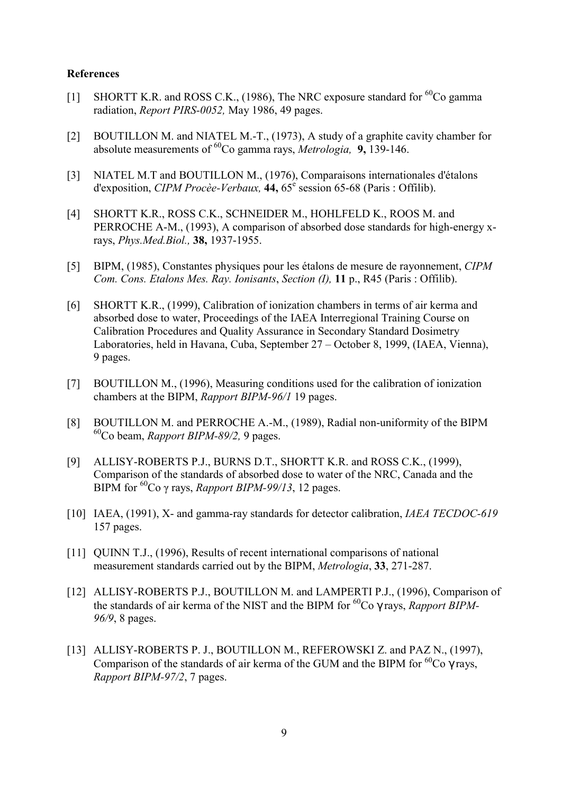#### **References**

- [1] SHORTT K.R. and ROSS C.K., (1986), The NRC exposure standard for  $^{60}$ Co gamma radiation, *Report PIRS-0052,* May 1986, 49 pages.
- [2] BOUTILLON M. and NIATEL M.-T., (1973), A study of a graphite cavity chamber for absolute measurements of 60Co gamma rays, *Metrologia,* **9,** 139-146.
- [3] NIATEL M.T and BOUTILLON M., (1976), Comparaisons internationales d'Ètalons d'exposition, *CIPM Procèe-Verbaux*, 44, 65<sup>e</sup> session 65-68 (Paris : Offilib).
- [4] SHORTT K.R., ROSS C.K., SCHNEIDER M., HOHLFELD K., ROOS M. and PERROCHE A-M., (1993), A comparison of absorbed dose standards for high-energy xrays, *Phys.Med.Biol.,* **38,** 1937-1955.
- [5] BIPM, (1985), Constantes physiques pour les Ètalons de mesure de rayonnement, *CIPM Com. Cons. Etalons Mes. Ray. Ionisants*, *Section (I),* **11** p., R45 (Paris : Offilib).
- [6] SHORTT K.R., (1999), Calibration of ionization chambers in terms of air kerma and absorbed dose to water, Proceedings of the IAEA Interregional Training Course on Calibration Procedures and Quality Assurance in Secondary Standard Dosimetry Laboratories, held in Havana, Cuba, September 27 – October 8, 1999, (IAEA, Vienna), 9 pages.
- [7] BOUTILLON M., (1996), Measuring conditions used for the calibration of ionization chambers at the BIPM, *Rapport BIPM-96/1* 19 pages.
- [8] BOUTILLON M. and PERROCHE A.-M., (1989), Radial non-uniformity of the BIPM 60Co beam, *Rapport BIPM-89/2,* 9 pages.
- [9] ALLISY-ROBERTS P.J., BURNS D.T., SHORTT K.R. and ROSS C.K., (1999), Comparison of the standards of absorbed dose to water of the NRC, Canada and the BIPM for <sup>60</sup>Co γ rays, *Rapport BIPM-99/13*, 12 pages.
- [10] IAEA, (1991), X- and gamma-ray standards for detector calibration, *IAEA TECDOC-619* 157 pages.
- [11] OUINN T.J., (1996), Results of recent international comparisons of national measurement standards carried out by the BIPM, *Metrologia*, **33**, 271-287.
- [12] ALLISY-ROBERTS P.J., BOUTILLON M. and LAMPERTI P.J., (1996), Comparison of the standards of air kerma of the NIST and the BIPM for <sup>60</sup>Co γ rays, *Rapport BIPM*-*96/9*, 8 pages.
- [13] ALLISY-ROBERTS P. J., BOUTILLON M., REFEROWSKI Z. and PAZ N., (1997), Comparison of the standards of air kerma of the GUM and the BIPM for  ${}^{60}Co$   $\gamma$  rays, *Rapport BIPM-97/2*, 7 pages.